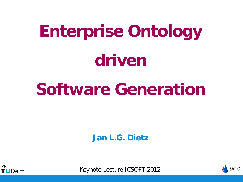# **Enterprise Ontology driven**

## **Software Generation**

**Jan L.G. Dietz**



Keynote Lecture ICSOFT 2012

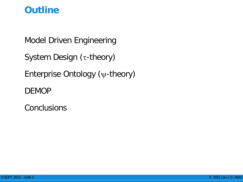#### **Outline**

Model Driven Engineering

System Design (τ-theory)

Enterprise Ontology (ψ-theory)

DEMOP

**Conclusions**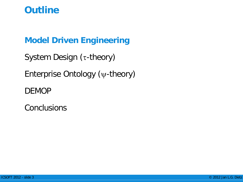#### **Outline**

#### **Model Driven Engineering**

System Design (τ-theory)

Enterprise Ontology (ψ-theory)

DEMOP

**Conclusions**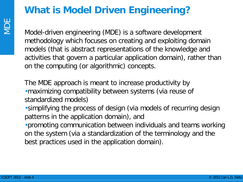#### **What is Model Driven Engineering?**

Model-driven engineering (MDE) is a software development methodology which focuses on creating and exploiting domain models (that is abstract representations of the knowledge and activities that govern a particular application domain), rather than on the computing (or algorithmic) concepts.

The MDE approach is meant to increase productivity by •maximizing compatibility between systems (via reuse of standardized models)

•simplifying the process of design (via models of recurring design patterns in the application domain), and

•promoting communication between individuals and teams working on the system (via a standardization of the terminology and the best practices used in the application domain).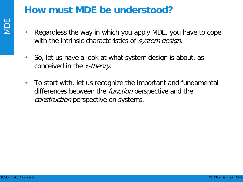#### **How must MDE be understood?**

- Regardless the way in which you apply MDE, you have to cope with the intrinsic characteristics of *system design*.
- So, let us have a look at what system design is about, as conceived in the  $\tau$ -theory.
- To start with, let us recognize the important and fundamental differences between the *function* perspective and the construction perspective on systems.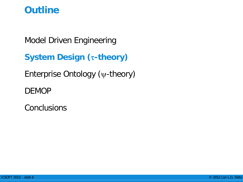#### **Outline**

Model Driven Engineering

**System Design (**τ**-theory)**

Enterprise Ontology (ψ-theory)

DEMOP

**Conclusions**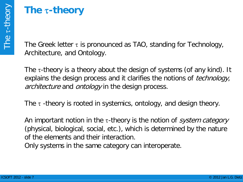### **The** τ**-theory**

The Greek letter  $\tau$  is pronounced as TAO, standing for Technology, Architecture, and Ontology.

The  $\tau$ -theory is a theory about the design of systems (of any kind). It explains the design process and it clarifies the notions of *technology*, architecture and ontology in the design process.

The  $\tau$  -theory is rooted in systemics, ontology, and design theory.

An important notion in the  $\tau$ -theory is the notion of *system category* (physical, biological, social, etc.), which is determined by the nature of the elements and their interaction.

Only systems in the same category can interoperate.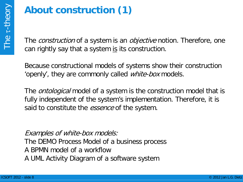## **About construction (1)**

The *construction* of a system is an *objective* notion. Therefore, one can rightly say that a system is its construction.

Because constructional models of systems show their construction 'openly', they are commonly called *white-box* models.

The *ontological* model of a system is the construction model that is fully independent of the system's implementation. Therefore, it is said to constitute the *essence* of the system.

Examples of white-box models:

The DEMO Process Model of a business process

A BPMN model of a workflow

A UML Activity Diagram of a software system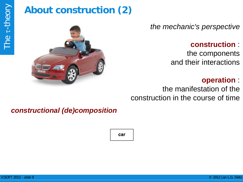## **About construction (2)**



*the mechanic's perspective*

**construction** :

the components and their interactions

#### **operation** :

the manifestation of the construction in the course of time

#### *constructional (de)composition*

car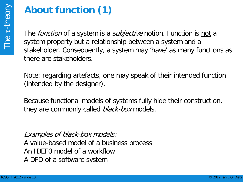## **About function (1)**

The *function* of a system is a *subjective* notion. Function is not a system property but a relationship between a system and a stakeholder. Consequently, a system may 'have' as many functions as there are stakeholders.

Note: regarding artefacts, one may speak of their intended function (intended by the designer).

Because functional models of systems fully hide their construction, they are commonly called *black-box* models.

Examples of black-box models: A value-based model of a business process An IDEF0 model of a workflow A DFD of a software system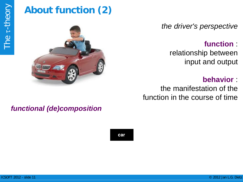## **About function (2)**



#### *functional (de)composition*

car

*the driver's perspective*

**function** :

relationship between input and output

#### **behavior** :

the manifestation of the function in the course of time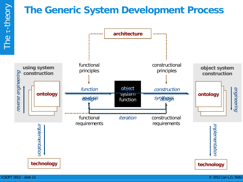#### **The Generic System Development Process**

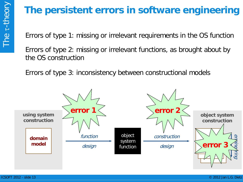## **The persistent errors in software engineering**

Errors of type 1: missing or irrelevant requirements in the OS function

Errors of type 2: missing or irrelevant functions, as brought about by the OS construction

Errors of type 3: inconsistency between constructional models

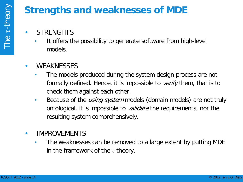#### **Strengths and weaknesses of MDE**

- **STRENGHTS** 
	- It offers the possibility to generate software from high-level models.
- WEAKNESSES
	- The models produced during the system design process are not formally defined. Hence, it is impossible to *verify* them, that is to check them against each other.
	- Because of the *using system* models (domain models) are not truly ontological, it is impossible to *validate* the requirements, nor the resulting system comprehensively.
- IMPROVEMENTS
	- The weaknesses can be removed to a large extent by putting MDE in the framework of the  $\tau$ -theory.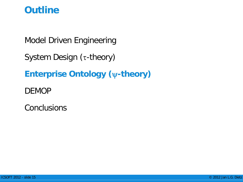#### **Outline**

Model Driven Engineering

System Design (τ-theory)

**Enterprise Ontology (**ψ**-theory)**

DEMOP

**Conclusions**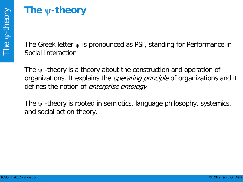#### **The** ψ**-theory**

The Greek letter  $\psi$  is pronounced as PSI, standing for Performance in Social Interaction

The  $\psi$  -theory is a theory about the construction and operation of organizations. It explains the *operating principle* of organizations and it defines the notion of *enterprise ontology*.

The  $\psi$  -theory is rooted in semiotics, language philosophy, systemics, and social action theory.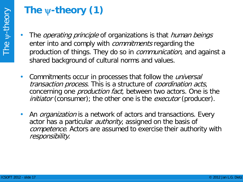## **The** ψ**-theory (1)**

- The *operating principle* of organizations is that *human beings* enter into and comply with *commitments* regarding the production of things. They do so in *communication*, and against a shared background of cultural norms and values.
- Commitments occur in processes that follow the *universal* transaction process. This is a structure of coordination acts, concerning one *production fact*, between two actors. One is the *initiator* (consumer); the other one is the *executor* (producer).
- An *organization* is a network of actors and transactions. Every actor has a particular *authority*, assigned on the basis of competence. Actors are assumed to exercise their authority with responsibility.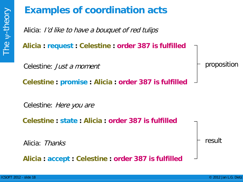## **Examples of coordination acts**

Alicia: I'd like to have a bouquet of red tulips

**Alicia : request : Celestine : order 387 is fulfilled**

Celestine: Just a moment

**Celestine : promise : Alicia : order 387 is fulfilled**

Celestine: Here you are

**Celestine : state : Alicia : order 387 is fulfilled**

Alicia: Thanks

**Alicia : accept : Celestine : order 387 is fulfilled**

result

proposition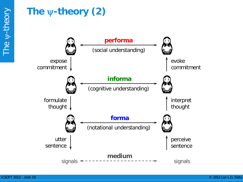## **The** ψ**-theory (2)**

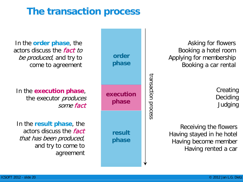#### **The transaction process**

In the **order phase**, the actors discuss the fact to be produced, and try to come to agreement

In the **execution phase**, the executor *produces* some fact

In the **result phase**, the actors discuss the fact that has been produced, and try to come to agreement



Asking for flowers Booking a hotel room Applying for membership Booking a car rental

> **Creating** Deciding Judging

Receiving the flowers Having stayed in he hotel Having become member Having rented a car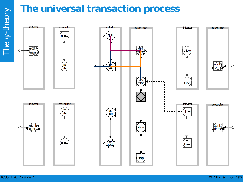

The

 $\Rightarrow$ 

-theory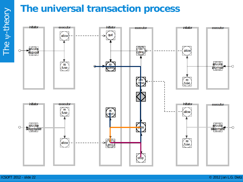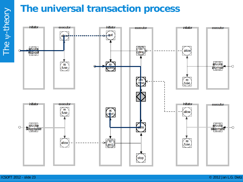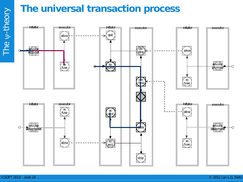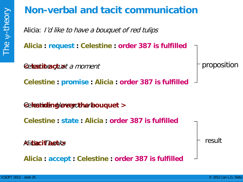#### **Non-verbal and tacit communication**

Alicia: I'd like to have a bouquet of red tulips

**Alicia : request : Celestine : order 387 is fulfilled**

**Setacinac***tust a moment* 

**Celestine : promise : Alicia : order 387 is fulfilled**

 $\epsilon$ eleatinde: here er $\epsilon$ the resuquet  $>$ 

**Celestine : state : Alicia : order 387 is fulfilled**

Alicia: Thanks **< tacit act >**

**Alicia : accept : Celestine : order 387 is fulfilled**

result

proposition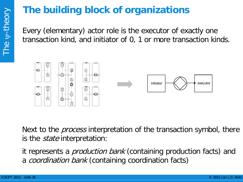#### **The building block of organizations**

Every (elementary) actor role is the executor of exactly one transaction kind, and initiator of 0, 1 or more transaction kinds.



Next to the *process* interpretation of the transaction symbol, there is the *state* interpretation:

it represents a *production bank* (containing production facts) and a *coordination bank* (containing coordination facts)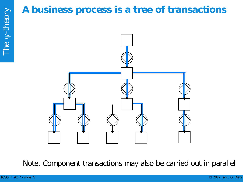#### **A business process is a tree of transactions**



Note. Component transactions may also be carried out in parallel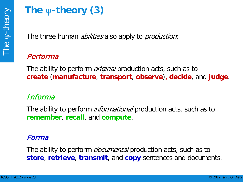## **The** ψ**-theory (3)**

The three human *abilities* also apply to *production*:

#### Performa

The ability to perform *original* production acts, such as to **create** (**manufacture**, **transport**, **observe**)**, decide**, and **judge**.

#### Informa

The ability to perform *informational* production acts, such as to **remember**, **recall**, and **compute**.

#### Forma

The ability to perform *documental* production acts, such as to **store**, **retrieve**, **transmit**, and **copy** sentences and documents.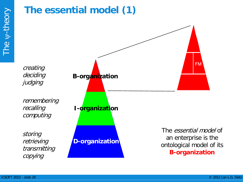#### **The essential model (1)**

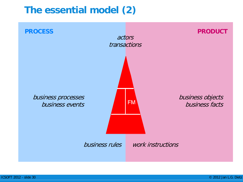#### **The essential model (2)**

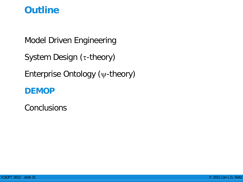#### **Outline**

Model Driven Engineering

System Design (τ-theory)

Enterprise Ontology (ψ-theory)

#### **DEMOP**

**Conclusions**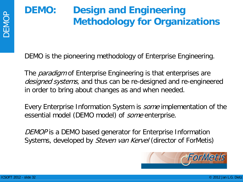### **DEMO: Design and Engineering Methodology for Organizations**

DEMO is the pioneering methodology of Enterprise Engineering.

The *paradigm* of Enterprise Engineering is that enterprises are designed systems, and thus can be re-designed and re-engineered in order to bring about changes as and when needed.

Every Enterprise Information System is some implementation of the essential model (DEMO model) of *some* enterprise.

DEMOP is a DEMO based generator for Enterprise Information Systems, developed by *Steven van Kervel* (director of ForMetis)

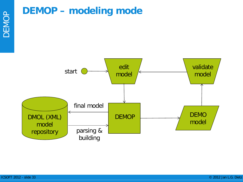#### **DEMOP – modeling mode**

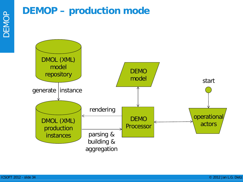#### **DEMOP – production mode**

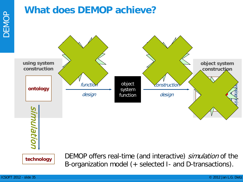#### **What does DEMOP achieve?**

![](_page_34_Figure_2.jpeg)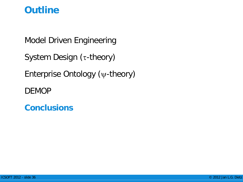#### **Outline**

Model Driven Engineering

System Design (τ-theory)

Enterprise Ontology (ψ-theory)

DEMOP

**Conclusions**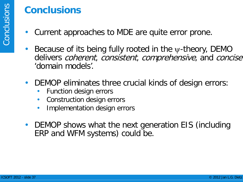#### **Conclusions**

- Current approaches to MDE are quite error prone.
- Because of its being fully rooted in the  $\psi$ -theory, DEMO delivers coherent, consistent, comprehensive, and concise 'domain models'.
- DEMOP eliminates three crucial kinds of design errors:
	- Function design errors
	- Construction design errors
	- Implementation design errors
- DEMOP shows what the next generation EIS (including ERP and WFM systems) could be.